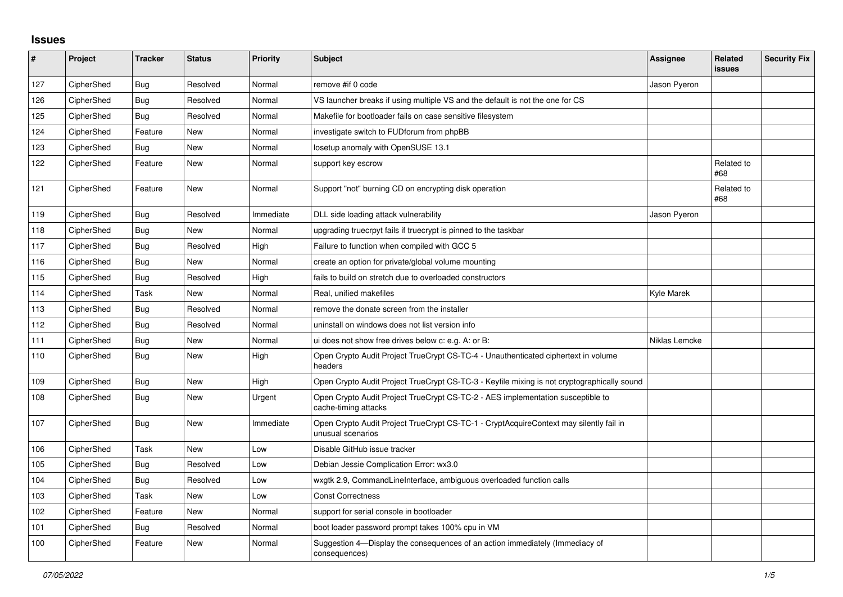## **Issues**

| $\pmb{\#}$ | Project    | <b>Tracker</b> | <b>Status</b> | Priority  | <b>Subject</b>                                                                                              | <b>Assignee</b> | Related<br><b>issues</b> | <b>Security Fix</b> |
|------------|------------|----------------|---------------|-----------|-------------------------------------------------------------------------------------------------------------|-----------------|--------------------------|---------------------|
| 127        | CipherShed | <b>Bug</b>     | Resolved      | Normal    | remove #if 0 code                                                                                           | Jason Pyeron    |                          |                     |
| 126        | CipherShed | Bug            | Resolved      | Normal    | VS launcher breaks if using multiple VS and the default is not the one for CS                               |                 |                          |                     |
| 125        | CipherShed | <b>Bug</b>     | Resolved      | Normal    | Makefile for bootloader fails on case sensitive filesystem                                                  |                 |                          |                     |
| 124        | CipherShed | Feature        | New           | Normal    | investigate switch to FUDforum from phpBB                                                                   |                 |                          |                     |
| 123        | CipherShed | <b>Bug</b>     | New           | Normal    | losetup anomaly with OpenSUSE 13.1                                                                          |                 |                          |                     |
| 122        | CipherShed | Feature        | <b>New</b>    | Normal    | support key escrow                                                                                          |                 | Related to<br>#68        |                     |
| 121        | CipherShed | Feature        | <b>New</b>    | Normal    | Support "not" burning CD on encrypting disk operation                                                       |                 | Related to<br>#68        |                     |
| 119        | CipherShed | <b>Bug</b>     | Resolved      | Immediate | DLL side loading attack vulnerability                                                                       | Jason Pyeron    |                          |                     |
| 118        | CipherShed | <b>Bug</b>     | <b>New</b>    | Normal    | upgrading truecrpyt fails if truecrypt is pinned to the taskbar                                             |                 |                          |                     |
| 117        | CipherShed | Bug            | Resolved      | High      | Failure to function when compiled with GCC 5                                                                |                 |                          |                     |
| 116        | CipherShed | Bug            | <b>New</b>    | Normal    | create an option for private/global volume mounting                                                         |                 |                          |                     |
| 115        | CipherShed | <b>Bug</b>     | Resolved      | High      | fails to build on stretch due to overloaded constructors                                                    |                 |                          |                     |
| 114        | CipherShed | Task           | New           | Normal    | Real, unified makefiles                                                                                     | Kyle Marek      |                          |                     |
| 113        | CipherShed | Bug            | Resolved      | Normal    | remove the donate screen from the installer                                                                 |                 |                          |                     |
| 112        | CipherShed | <b>Bug</b>     | Resolved      | Normal    | uninstall on windows does not list version info                                                             |                 |                          |                     |
| 111        | CipherShed | <b>Bug</b>     | <b>New</b>    | Normal    | ui does not show free drives below c: e.g. A: or B:                                                         | Niklas Lemcke   |                          |                     |
| 110        | CipherShed | Bug            | New           | High      | Open Crypto Audit Project TrueCrypt CS-TC-4 - Unauthenticated ciphertext in volume<br>headers               |                 |                          |                     |
| 109        | CipherShed | <b>Bug</b>     | <b>New</b>    | High      | Open Crypto Audit Project TrueCrypt CS-TC-3 - Keyfile mixing is not cryptographically sound                 |                 |                          |                     |
| 108        | CipherShed | Bug            | New           | Urgent    | Open Crypto Audit Project TrueCrypt CS-TC-2 - AES implementation susceptible to<br>cache-timing attacks     |                 |                          |                     |
| 107        | CipherShed | <b>Bug</b>     | <b>New</b>    | Immediate | Open Crypto Audit Project TrueCrypt CS-TC-1 - CryptAcquireContext may silently fail in<br>unusual scenarios |                 |                          |                     |
| 106        | CipherShed | Task           | <b>New</b>    | Low       | Disable GitHub issue tracker                                                                                |                 |                          |                     |
| 105        | CipherShed | <b>Bug</b>     | Resolved      | Low       | Debian Jessie Complication Error: wx3.0                                                                     |                 |                          |                     |
| 104        | CipherShed | Bug            | Resolved      | Low       | wxgtk 2.9, CommandLineInterface, ambiguous overloaded function calls                                        |                 |                          |                     |
| 103        | CipherShed | Task           | <b>New</b>    | Low       | <b>Const Correctness</b>                                                                                    |                 |                          |                     |
| 102        | CipherShed | Feature        | <b>New</b>    | Normal    | support for serial console in bootloader                                                                    |                 |                          |                     |
| 101        | CipherShed | Bug            | Resolved      | Normal    | boot loader password prompt takes 100% cpu in VM                                                            |                 |                          |                     |
| 100        | CipherShed | Feature        | <b>New</b>    | Normal    | Suggestion 4-Display the consequences of an action immediately (Immediacy of<br>consequences)               |                 |                          |                     |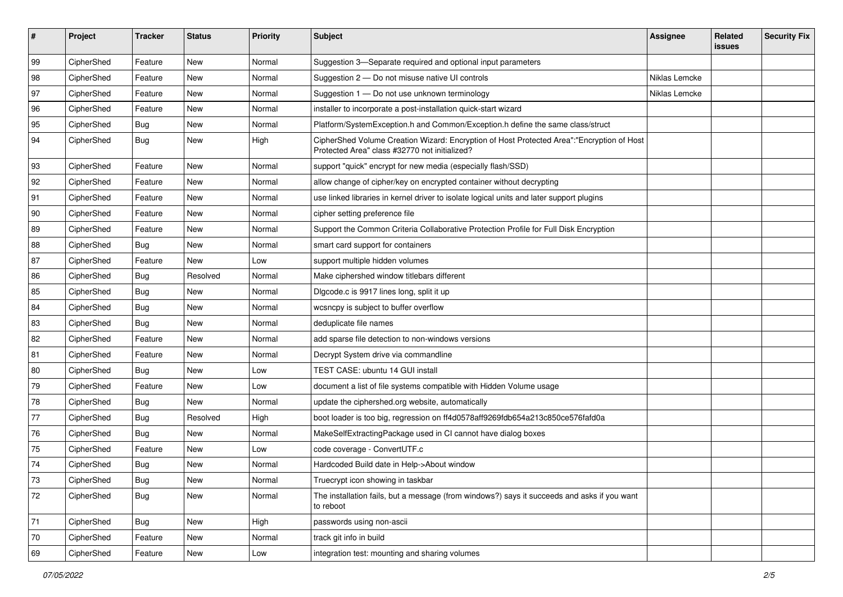| #  | Project    | <b>Tracker</b> | <b>Status</b> | <b>Priority</b> | <b>Subject</b>                                                                                                                             | Assignee      | Related<br>issues | <b>Security Fix</b> |
|----|------------|----------------|---------------|-----------------|--------------------------------------------------------------------------------------------------------------------------------------------|---------------|-------------------|---------------------|
| 99 | CipherShed | Feature        | <b>New</b>    | Normal          | Suggestion 3-Separate required and optional input parameters                                                                               |               |                   |                     |
| 98 | CipherShed | Feature        | New           | Normal          | Suggestion 2 - Do not misuse native UI controls                                                                                            | Niklas Lemcke |                   |                     |
| 97 | CipherShed | Feature        | New           | Normal          | Suggestion 1 - Do not use unknown terminology                                                                                              | Niklas Lemcke |                   |                     |
| 96 | CipherShed | Feature        | New           | Normal          | installer to incorporate a post-installation quick-start wizard                                                                            |               |                   |                     |
| 95 | CipherShed | Bug            | New           | Normal          | Platform/SystemException.h and Common/Exception.h define the same class/struct                                                             |               |                   |                     |
| 94 | CipherShed | <b>Bug</b>     | New           | High            | CipherShed Volume Creation Wizard: Encryption of Host Protected Area":"Encryption of Host<br>Protected Area" class #32770 not initialized? |               |                   |                     |
| 93 | CipherShed | Feature        | New           | Normal          | support "quick" encrypt for new media (especially flash/SSD)                                                                               |               |                   |                     |
| 92 | CipherShed | Feature        | New           | Normal          | allow change of cipher/key on encrypted container without decrypting                                                                       |               |                   |                     |
| 91 | CipherShed | Feature        | <b>New</b>    | Normal          | use linked libraries in kernel driver to isolate logical units and later support plugins                                                   |               |                   |                     |
| 90 | CipherShed | Feature        | New           | Normal          | cipher setting preference file                                                                                                             |               |                   |                     |
| 89 | CipherShed | Feature        | New           | Normal          | Support the Common Criteria Collaborative Protection Profile for Full Disk Encryption                                                      |               |                   |                     |
| 88 | CipherShed | <b>Bug</b>     | New           | Normal          | smart card support for containers                                                                                                          |               |                   |                     |
| 87 | CipherShed | Feature        | New           | Low             | support multiple hidden volumes                                                                                                            |               |                   |                     |
| 86 | CipherShed | <b>Bug</b>     | Resolved      | Normal          | Make ciphershed window titlebars different                                                                                                 |               |                   |                     |
| 85 | CipherShed | <b>Bug</b>     | New           | Normal          | Digcode.c is 9917 lines long, split it up                                                                                                  |               |                   |                     |
| 84 | CipherShed | <b>Bug</b>     | New           | Normal          | wcsncpy is subject to buffer overflow                                                                                                      |               |                   |                     |
| 83 | CipherShed | <b>Bug</b>     | New           | Normal          | deduplicate file names                                                                                                                     |               |                   |                     |
| 82 | CipherShed | Feature        | <b>New</b>    | Normal          | add sparse file detection to non-windows versions                                                                                          |               |                   |                     |
| 81 | CipherShed | Feature        | New           | Normal          | Decrypt System drive via commandline                                                                                                       |               |                   |                     |
| 80 | CipherShed | Bug            | New           | Low             | TEST CASE: ubuntu 14 GUI install                                                                                                           |               |                   |                     |
| 79 | CipherShed | Feature        | New           | Low             | document a list of file systems compatible with Hidden Volume usage                                                                        |               |                   |                     |
| 78 | CipherShed | Bug            | New           | Normal          | update the ciphershed.org website, automatically                                                                                           |               |                   |                     |
| 77 | CipherShed | <b>Bug</b>     | Resolved      | High            | boot loader is too big, regression on ff4d0578aff9269fdb654a213c850ce576fafd0a                                                             |               |                   |                     |
| 76 | CipherShed | <b>Bug</b>     | New           | Normal          | MakeSelfExtractingPackage used in CI cannot have dialog boxes                                                                              |               |                   |                     |
| 75 | CipherShed | Feature        | New           | Low             | code coverage - ConvertUTF.c                                                                                                               |               |                   |                     |
| 74 | CipherShed | Bug            | New           | Normal          | Hardcoded Build date in Help->About window                                                                                                 |               |                   |                     |
| 73 | CipherShed | Bug            | New           | Normal          | Truecrypt icon showing in taskbar                                                                                                          |               |                   |                     |
| 72 | CipherShed | <b>Bug</b>     | New           | Normal          | The installation fails, but a message (from windows?) says it succeeds and asks if you want<br>to reboot                                   |               |                   |                     |
| 71 | CipherShed | <b>Bug</b>     | New           | High            | passwords using non-ascii                                                                                                                  |               |                   |                     |
| 70 | CipherShed | Feature        | <b>New</b>    | Normal          | track git info in build                                                                                                                    |               |                   |                     |
| 69 | CipherShed | Feature        | New           | Low             | integration test: mounting and sharing volumes                                                                                             |               |                   |                     |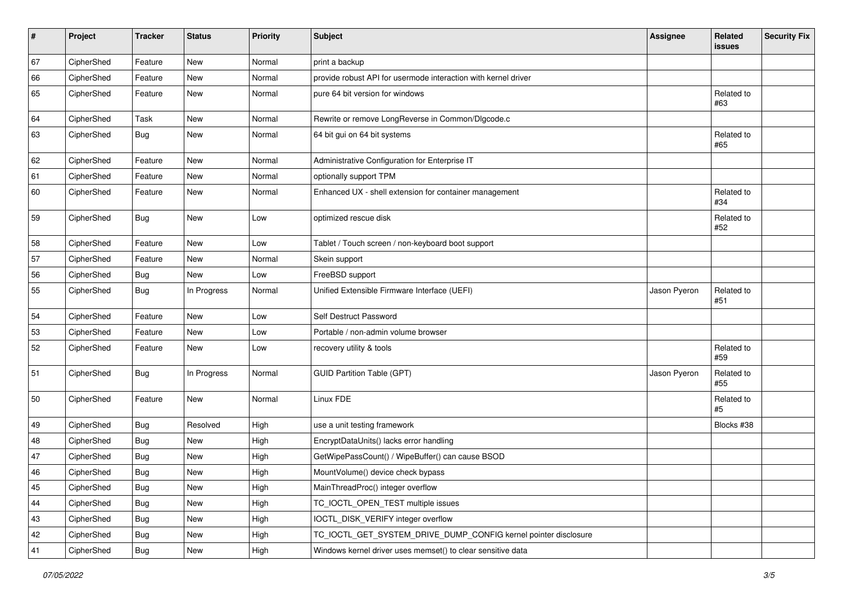| #  | Project    | <b>Tracker</b> | <b>Status</b> | <b>Priority</b> | <b>Subject</b>                                                  | <b>Assignee</b> | Related<br><b>issues</b> | <b>Security Fix</b> |
|----|------------|----------------|---------------|-----------------|-----------------------------------------------------------------|-----------------|--------------------------|---------------------|
| 67 | CipherShed | Feature        | <b>New</b>    | Normal          | print a backup                                                  |                 |                          |                     |
| 66 | CipherShed | Feature        | <b>New</b>    | Normal          | provide robust API for usermode interaction with kernel driver  |                 |                          |                     |
| 65 | CipherShed | Feature        | New           | Normal          | pure 64 bit version for windows                                 |                 | Related to<br>#63        |                     |
| 64 | CipherShed | Task           | <b>New</b>    | Normal          | Rewrite or remove LongReverse in Common/Dlgcode.c               |                 |                          |                     |
| 63 | CipherShed | <b>Bug</b>     | <b>New</b>    | Normal          | 64 bit gui on 64 bit systems                                    |                 | Related to<br>#65        |                     |
| 62 | CipherShed | Feature        | <b>New</b>    | Normal          | Administrative Configuration for Enterprise IT                  |                 |                          |                     |
| 61 | CipherShed | Feature        | <b>New</b>    | Normal          | optionally support TPM                                          |                 |                          |                     |
| 60 | CipherShed | Feature        | <b>New</b>    | Normal          | Enhanced UX - shell extension for container management          |                 | Related to<br>#34        |                     |
| 59 | CipherShed | Bug            | New           | Low             | optimized rescue disk                                           |                 | Related to<br>#52        |                     |
| 58 | CipherShed | Feature        | <b>New</b>    | Low             | Tablet / Touch screen / non-keyboard boot support               |                 |                          |                     |
| 57 | CipherShed | Feature        | <b>New</b>    | Normal          | Skein support                                                   |                 |                          |                     |
| 56 | CipherShed | Bug            | <b>New</b>    | Low             | FreeBSD support                                                 |                 |                          |                     |
| 55 | CipherShed | <b>Bug</b>     | In Progress   | Normal          | Unified Extensible Firmware Interface (UEFI)                    | Jason Pyeron    | Related to<br>#51        |                     |
| 54 | CipherShed | Feature        | <b>New</b>    | Low             | Self Destruct Password                                          |                 |                          |                     |
| 53 | CipherShed | Feature        | <b>New</b>    | Low             | Portable / non-admin volume browser                             |                 |                          |                     |
| 52 | CipherShed | Feature        | New           | Low             | recovery utility & tools                                        |                 | Related to<br>#59        |                     |
| 51 | CipherShed | <b>Bug</b>     | In Progress   | Normal          | <b>GUID Partition Table (GPT)</b>                               | Jason Pyeron    | Related to<br>#55        |                     |
| 50 | CipherShed | Feature        | <b>New</b>    | Normal          | Linux FDE                                                       |                 | Related to<br>#5         |                     |
| 49 | CipherShed | <b>Bug</b>     | Resolved      | High            | use a unit testing framework                                    |                 | Blocks #38               |                     |
| 48 | CipherShed | <b>Bug</b>     | <b>New</b>    | High            | EncryptDataUnits() lacks error handling                         |                 |                          |                     |
| 47 | CipherShed | <b>Bug</b>     | <b>New</b>    | High            | GetWipePassCount() / WipeBuffer() can cause BSOD                |                 |                          |                     |
| 46 | CipherShed | Bug            | <b>New</b>    | High            | MountVolume() device check bypass                               |                 |                          |                     |
| 45 | CipherShed | <b>Bug</b>     | New           | High            | MainThreadProc() integer overflow                               |                 |                          |                     |
| 44 | CipherShed | <b>Bug</b>     | New           | High            | TC_IOCTL_OPEN_TEST multiple issues                              |                 |                          |                     |
| 43 | CipherShed | <b>Bug</b>     | New           | High            | IOCTL_DISK_VERIFY integer overflow                              |                 |                          |                     |
| 42 | CipherShed | <b>Bug</b>     | New           | High            | TC_IOCTL_GET_SYSTEM_DRIVE_DUMP_CONFIG kernel pointer disclosure |                 |                          |                     |
| 41 | CipherShed | Bug            | New           | High            | Windows kernel driver uses memset() to clear sensitive data     |                 |                          |                     |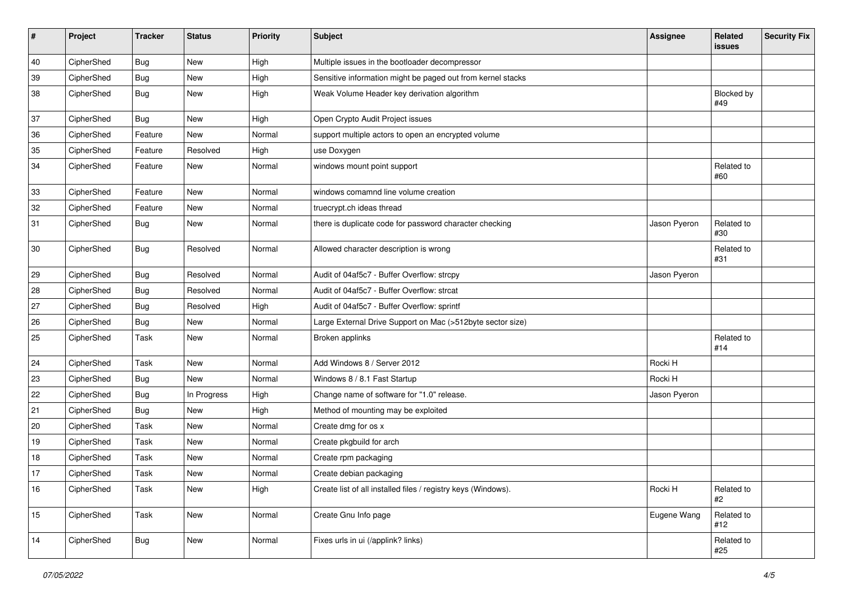| #  | Project    | <b>Tracker</b> | <b>Status</b> | <b>Priority</b> | <b>Subject</b>                                                | <b>Assignee</b> | Related<br>issues | <b>Security Fix</b> |
|----|------------|----------------|---------------|-----------------|---------------------------------------------------------------|-----------------|-------------------|---------------------|
| 40 | CipherShed | <b>Bug</b>     | <b>New</b>    | High            | Multiple issues in the bootloader decompressor                |                 |                   |                     |
| 39 | CipherShed | <b>Bug</b>     | New           | High            | Sensitive information might be paged out from kernel stacks   |                 |                   |                     |
| 38 | CipherShed | <b>Bug</b>     | New           | High            | Weak Volume Header key derivation algorithm                   |                 | Blocked by<br>#49 |                     |
| 37 | CipherShed | Bug            | New           | High            | Open Crypto Audit Project issues                              |                 |                   |                     |
| 36 | CipherShed | Feature        | <b>New</b>    | Normal          | support multiple actors to open an encrypted volume           |                 |                   |                     |
| 35 | CipherShed | Feature        | Resolved      | High            | use Doxygen                                                   |                 |                   |                     |
| 34 | CipherShed | Feature        | New           | Normal          | windows mount point support                                   |                 | Related to<br>#60 |                     |
| 33 | CipherShed | Feature        | New           | Normal          | windows comamnd line volume creation                          |                 |                   |                     |
| 32 | CipherShed | Feature        | New           | Normal          | truecrypt.ch ideas thread                                     |                 |                   |                     |
| 31 | CipherShed | <b>Bug</b>     | New           | Normal          | there is duplicate code for password character checking       | Jason Pyeron    | Related to<br>#30 |                     |
| 30 | CipherShed | <b>Bug</b>     | Resolved      | Normal          | Allowed character description is wrong                        |                 | Related to<br>#31 |                     |
| 29 | CipherShed | <b>Bug</b>     | Resolved      | Normal          | Audit of 04af5c7 - Buffer Overflow: strcpy                    | Jason Pyeron    |                   |                     |
| 28 | CipherShed | <b>Bug</b>     | Resolved      | Normal          | Audit of 04af5c7 - Buffer Overflow: strcat                    |                 |                   |                     |
| 27 | CipherShed | <b>Bug</b>     | Resolved      | High            | Audit of 04af5c7 - Buffer Overflow: sprintf                   |                 |                   |                     |
| 26 | CipherShed | <b>Bug</b>     | New           | Normal          | Large External Drive Support on Mac (>512byte sector size)    |                 |                   |                     |
| 25 | CipherShed | Task           | New           | Normal          | Broken applinks                                               |                 | Related to<br>#14 |                     |
| 24 | CipherShed | Task           | <b>New</b>    | Normal          | Add Windows 8 / Server 2012                                   | Rocki H         |                   |                     |
| 23 | CipherShed | Bug            | New           | Normal          | Windows 8 / 8.1 Fast Startup                                  | Rocki H         |                   |                     |
| 22 | CipherShed | <b>Bug</b>     | In Progress   | High            | Change name of software for "1.0" release.                    | Jason Pyeron    |                   |                     |
| 21 | CipherShed | Bug            | New           | High            | Method of mounting may be exploited                           |                 |                   |                     |
| 20 | CipherShed | Task           | New           | Normal          | Create dmg for os x                                           |                 |                   |                     |
| 19 | CipherShed | Task           | <b>New</b>    | Normal          | Create pkgbuild for arch                                      |                 |                   |                     |
| 18 | CipherShed | Task           | New           | Normal          | Create rpm packaging                                          |                 |                   |                     |
| 17 | CipherShed | Task           | <b>New</b>    | Normal          | Create debian packaging                                       |                 |                   |                     |
| 16 | CipherShed | Task           | New           | High            | Create list of all installed files / registry keys (Windows). | Rocki H         | Related to<br>#2  |                     |
| 15 | CipherShed | Task           | New           | Normal          | Create Gnu Info page                                          | Eugene Wang     | Related to<br>#12 |                     |
| 14 | CipherShed | <b>Bug</b>     | New           | Normal          | Fixes urls in ui (/applink? links)                            |                 | Related to<br>#25 |                     |